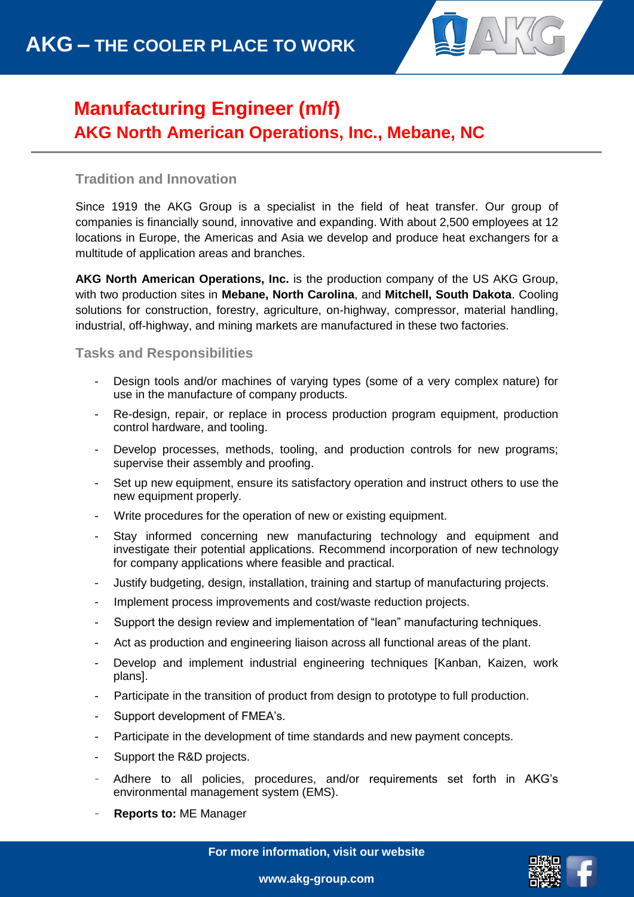

## **Manufacturing Engineer (m/f) AKG North American Operations, Inc., Mebane, NC**

## **Tradition and Innovation**

Since 1919 the AKG Group is a specialist in the field of heat transfer. Our group of companies is financially sound, innovative and expanding. With about 2,500 employees at 12 locations in Europe, the Americas and Asia we develop and produce heat exchangers for a multitude of application areas and branches.

**AKG North American Operations, Inc.** is the production company of the US AKG Group, with two production sites in **Mebane, North Carolina**, and **Mitchell, South Dakota**. Cooling solutions for construction, forestry, agriculture, on-highway, compressor, material handling, industrial, off-highway, and mining markets are manufactured in these two factories.

## **Tasks and Responsibilities**

- Design tools and/or machines of varying types (some of a very complex nature) for use in the manufacture of company products.
- Re-design, repair, or replace in process production program equipment, production control hardware, and tooling.
- Develop processes, methods, tooling, and production controls for new programs; supervise their assembly and proofing.
- Set up new equipment, ensure its satisfactory operation and instruct others to use the new equipment properly.
- Write procedures for the operation of new or existing equipment.
- Stay informed concerning new manufacturing technology and equipment and investigate their potential applications. Recommend incorporation of new technology for company applications where feasible and practical.
- Justify budgeting, design, installation, training and startup of manufacturing projects.
- Implement process improvements and cost/waste reduction projects.
- Support the design review and implementation of "lean" manufacturing techniques.
- Act as production and engineering liaison across all functional areas of the plant.
- Develop and implement industrial engineering techniques [Kanban, Kaizen, work plans].
- Participate in the transition of product from design to prototype to full production.
- Support development of FMEA's.
- Participate in the development of time standards and new payment concepts.
- Support the R&D projects.
- Adhere to all policies, procedures, and/or requirements set forth in AKG's environmental management system (EMS).
- **Reports to: ME Manager**

**For more information, visit our website**



**www.akg-group.com**